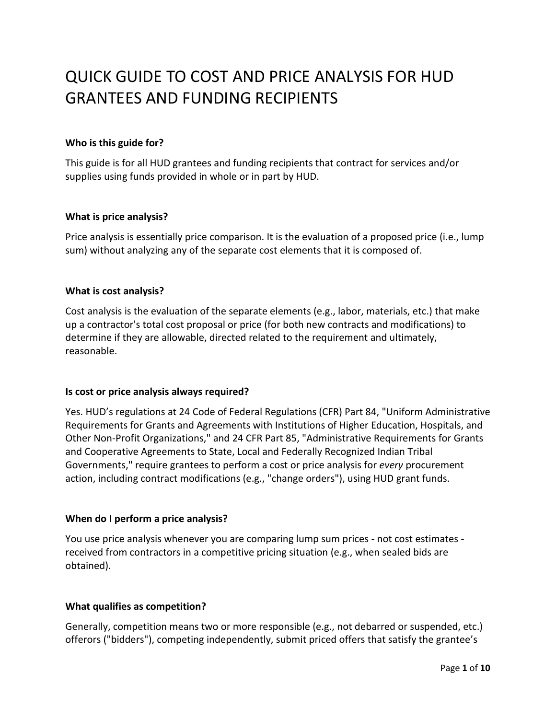# QUICK GUIDE TO COST AND PRICE ANALYSIS FOR HUD GRANTEES AND FUNDING RECIPIENTS

## **Who is this guide for?**

This guide is for all HUD grantees and funding recipients that contract for services and/or supplies using funds provided in whole or in part by HUD.

#### **What is price analysis?**

Price analysis is essentially price comparison. It is the evaluation of a proposed price (i.e., lump sum) without analyzing any of the separate cost elements that it is composed of.

#### **What is cost analysis?**

Cost analysis is the evaluation of the separate elements (e.g., labor, materials, etc.) that make up a contractor's total cost proposal or price (for both new contracts and modifications) to determine if they are allowable, directed related to the requirement and ultimately, reasonable.

#### **Is cost or price analysis always required?**

Yes. HUD's regulations at 24 Code of Federal Regulations (CFR) Part 84, "Uniform Administrative Requirements for Grants and Agreements with Institutions of Higher Education, Hospitals, and Other Non-Profit Organizations," and 24 CFR Part 85, "Administrative Requirements for Grants and Cooperative Agreements to State, Local and Federally Recognized Indian Tribal Governments," require grantees to perform a cost or price analysis for *every* procurement action, including contract modifications (e.g., "change orders"), using HUD grant funds.

#### **When do I perform a price analysis?**

You use price analysis whenever you are comparing lump sum prices - not cost estimates received from contractors in a competitive pricing situation (e.g., when sealed bids are obtained).

#### **What qualifies as competition?**

Generally, competition means two or more responsible (e.g., not debarred or suspended, etc.) offerors ("bidders"), competing independently, submit priced offers that satisfy the grantee's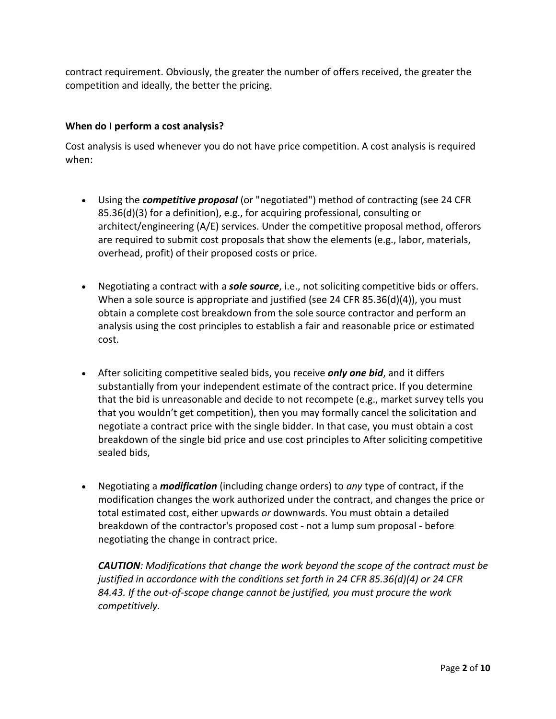contract requirement. Obviously, the greater the number of offers received, the greater the competition and ideally, the better the pricing.

# **When do I perform a cost analysis?**

Cost analysis is used whenever you do not have price competition. A cost analysis is required when:

- Using the *competitive proposal* (or "negotiated") method of contracting (see 24 CFR 85.36(d)(3) for a definition), e.g., for acquiring professional, consulting or architect/engineering (A/E) services. Under the competitive proposal method, offerors are required to submit cost proposals that show the elements (e.g., labor, materials, overhead, profit) of their proposed costs or price.
- Negotiating a contract with a *sole source*, i.e., not soliciting competitive bids or offers. When a sole source is appropriate and justified (see 24 CFR 85.36(d)(4)), you must obtain a complete cost breakdown from the sole source contractor and perform an analysis using the cost principles to establish a fair and reasonable price or estimated cost.
- After soliciting competitive sealed bids, you receive *only one bid*, and it differs substantially from your independent estimate of the contract price. If you determine that the bid is unreasonable and decide to not recompete (e.g., market survey tells you that you wouldn't get competition), then you may formally cancel the solicitation and negotiate a contract price with the single bidder. In that case, you must obtain a cost breakdown of the single bid price and use cost principles to After soliciting competitive sealed bids,
- Negotiating a *modification* (including change orders) to *any* type of contract, if the modification changes the work authorized under the contract, and changes the price or total estimated cost, either upwards *or* downwards. You must obtain a detailed breakdown of the contractor's proposed cost - not a lump sum proposal - before negotiating the change in contract price.

*CAUTION: Modifications that change the work beyond the scope of the contract must be justified in accordance with the conditions set forth in 24 CFR 85.36(d)(4) or 24 CFR 84.43. If the out-of-scope change cannot be justified, you must procure the work competitively.*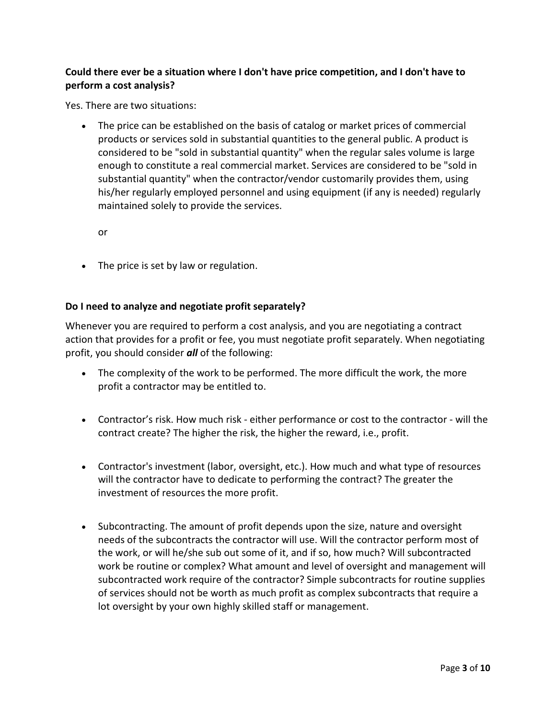# **Could there ever be a situation where I don't have price competition, and I don't have to perform a cost analysis?**

Yes. There are two situations:

• The price can be established on the basis of catalog or market prices of commercial products or services sold in substantial quantities to the general public. A product is considered to be "sold in substantial quantity" when the regular sales volume is large enough to constitute a real commercial market. Services are considered to be "sold in substantial quantity" when the contractor/vendor customarily provides them, using his/her regularly employed personnel and using equipment (if any is needed) regularly maintained solely to provide the services.

or

• The price is set by law or regulation.

### **Do I need to analyze and negotiate profit separately?**

Whenever you are required to perform a cost analysis, and you are negotiating a contract action that provides for a profit or fee, you must negotiate profit separately. When negotiating profit, you should consider *all* of the following:

- The complexity of the work to be performed. The more difficult the work, the more profit a contractor may be entitled to.
- Contractor's risk. How much risk either performance or cost to the contractor will the contract create? The higher the risk, the higher the reward, i.e., profit.
- Contractor's investment (labor, oversight, etc.). How much and what type of resources will the contractor have to dedicate to performing the contract? The greater the investment of resources the more profit.
- Subcontracting. The amount of profit depends upon the size, nature and oversight needs of the subcontracts the contractor will use. Will the contractor perform most of the work, or will he/she sub out some of it, and if so, how much? Will subcontracted work be routine or complex? What amount and level of oversight and management will subcontracted work require of the contractor? Simple subcontracts for routine supplies of services should not be worth as much profit as complex subcontracts that require a lot oversight by your own highly skilled staff or management.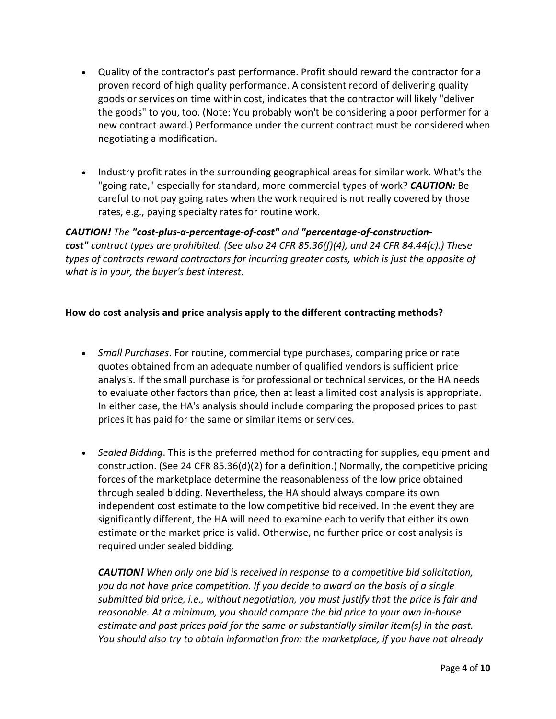- Quality of the contractor's past performance. Profit should reward the contractor for a proven record of high quality performance. A consistent record of delivering quality goods or services on time within cost, indicates that the contractor will likely "deliver the goods" to you, too. (Note: You probably won't be considering a poor performer for a new contract award.) Performance under the current contract must be considered when negotiating a modification.
- Industry profit rates in the surrounding geographical areas for similar work. What's the "going rate," especially for standard, more commercial types of work? *CAUTION:* Be careful to not pay going rates when the work required is not really covered by those rates, e.g., paying specialty rates for routine work.

*CAUTION! The "cost-plus-a-percentage-of-cost" and "percentage-of-constructioncost" contract types are prohibited. (See also 24 CFR 85.36(f)(4), and 24 CFR 84.44(c).) These types of contracts reward contractors for incurring greater costs, which is just the opposite of what is in your, the buyer's best interest.*

# **How do cost analysis and price analysis apply to the different contracting methods?**

- *Small Purchases*. For routine, commercial type purchases, comparing price or rate quotes obtained from an adequate number of qualified vendors is sufficient price analysis. If the small purchase is for professional or technical services, or the HA needs to evaluate other factors than price, then at least a limited cost analysis is appropriate. In either case, the HA's analysis should include comparing the proposed prices to past prices it has paid for the same or similar items or services.
- *Sealed Bidding*. This is the preferred method for contracting for supplies, equipment and construction. (See 24 CFR 85.36(d)(2) for a definition.) Normally, the competitive pricing forces of the marketplace determine the reasonableness of the low price obtained through sealed bidding. Nevertheless, the HA should always compare its own independent cost estimate to the low competitive bid received. In the event they are significantly different, the HA will need to examine each to verify that either its own estimate or the market price is valid. Otherwise, no further price or cost analysis is required under sealed bidding.

*CAUTION! When only one bid is received in response to a competitive bid solicitation, you do not have price competition. If you decide to award on the basis of a single submitted bid price, i.e., without negotiation, you must justify that the price is fair and reasonable. At a minimum, you should compare the bid price to your own in-house estimate and past prices paid for the same or substantially similar item(s) in the past. You should also try to obtain information from the marketplace, if you have not already*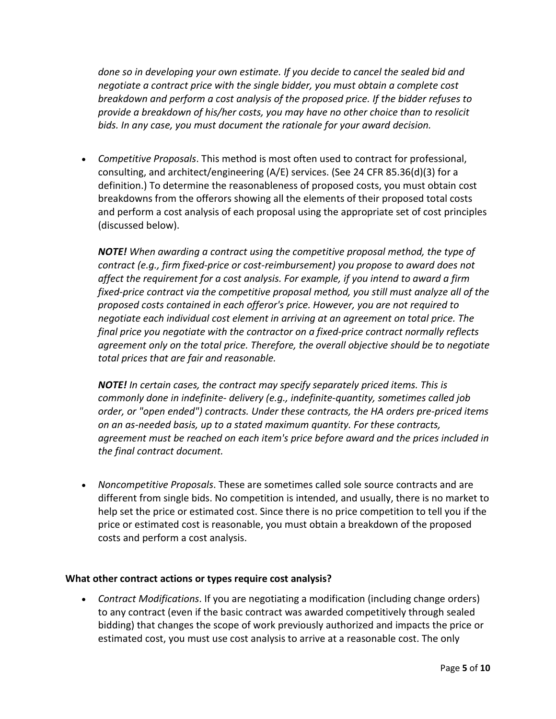*done so in developing your own estimate. If you decide to cancel the sealed bid and negotiate a contract price with the single bidder, you must obtain a complete cost breakdown and perform a cost analysis of the proposed price. If the bidder refuses to provide a breakdown of his/her costs, you may have no other choice than to resolicit bids. In any case, you must document the rationale for your award decision.*

• *Competitive Proposals*. This method is most often used to contract for professional, consulting, and architect/engineering (A/E) services. (See 24 CFR 85.36(d)(3) for a definition.) To determine the reasonableness of proposed costs, you must obtain cost breakdowns from the offerors showing all the elements of their proposed total costs and perform a cost analysis of each proposal using the appropriate set of cost principles (discussed below).

*NOTE! When awarding a contract using the competitive proposal method, the type of contract (e.g., firm fixed-price or cost-reimbursement) you propose to award does not affect the requirement for a cost analysis. For example, if you intend to award a firm fixed-price contract via the competitive proposal method, you still must analyze all of the proposed costs contained in each offeror's price. However, you are not required to negotiate each individual cost element in arriving at an agreement on total price. The final price you negotiate with the contractor on a fixed-price contract normally reflects agreement only on the total price. Therefore, the overall objective should be to negotiate total prices that are fair and reasonable.*

*NOTE! In certain cases, the contract may specify separately priced items. This is commonly done in indefinite- delivery (e.g., indefinite-quantity, sometimes called job order, or "open ended") contracts. Under these contracts, the HA orders pre-priced items on an as-needed basis, up to a stated maximum quantity. For these contracts, agreement must be reached on each item's price before award and the prices included in the final contract document.*

• *Noncompetitive Proposals*. These are sometimes called sole source contracts and are different from single bids. No competition is intended, and usually, there is no market to help set the price or estimated cost. Since there is no price competition to tell you if the price or estimated cost is reasonable, you must obtain a breakdown of the proposed costs and perform a cost analysis.

# **What other contract actions or types require cost analysis?**

• *Contract Modifications*. If you are negotiating a modification (including change orders) to any contract (even if the basic contract was awarded competitively through sealed bidding) that changes the scope of work previously authorized and impacts the price or estimated cost, you must use cost analysis to arrive at a reasonable cost. The only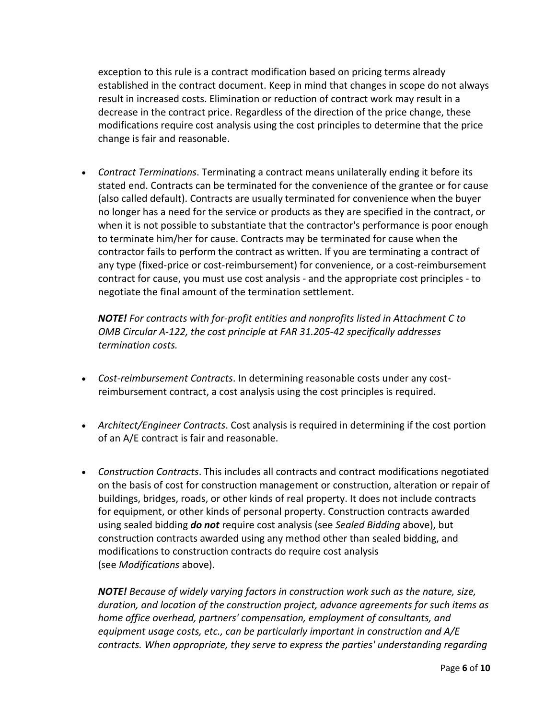exception to this rule is a contract modification based on pricing terms already established in the contract document. Keep in mind that changes in scope do not always result in increased costs. Elimination or reduction of contract work may result in a decrease in the contract price. Regardless of the direction of the price change, these modifications require cost analysis using the cost principles to determine that the price change is fair and reasonable.

• *Contract Terminations*. Terminating a contract means unilaterally ending it before its stated end. Contracts can be terminated for the convenience of the grantee or for cause (also called default). Contracts are usually terminated for convenience when the buyer no longer has a need for the service or products as they are specified in the contract, or when it is not possible to substantiate that the contractor's performance is poor enough to terminate him/her for cause. Contracts may be terminated for cause when the contractor fails to perform the contract as written. If you are terminating a contract of any type (fixed-price or cost-reimbursement) for convenience, or a cost-reimbursement contract for cause, you must use cost analysis - and the appropriate cost principles - to negotiate the final amount of the termination settlement.

*NOTE! For contracts with for-profit entities and nonprofits listed in Attachment C to OMB Circular A-122, the cost principle at FAR 31.205-42 specifically addresses termination costs.*

- *Cost-reimbursement Contracts*. In determining reasonable costs under any costreimbursement contract, a cost analysis using the cost principles is required.
- *Architect/Engineer Contracts*. Cost analysis is required in determining if the cost portion of an A/E contract is fair and reasonable.
- *Construction Contracts*. This includes all contracts and contract modifications negotiated on the basis of cost for construction management or construction, alteration or repair of buildings, bridges, roads, or other kinds of real property. It does not include contracts for equipment, or other kinds of personal property. Construction contracts awarded using sealed bidding *do not* require cost analysis (see *Sealed Bidding* above), but construction contracts awarded using any method other than sealed bidding, and modifications to construction contracts do require cost analysis (see *Modifications* above).

*NOTE! Because of widely varying factors in construction work such as the nature, size, duration, and location of the construction project, advance agreements for such items as home office overhead, partners' compensation, employment of consultants, and equipment usage costs, etc., can be particularly important in construction and A/E contracts. When appropriate, they serve to express the parties' understanding regarding*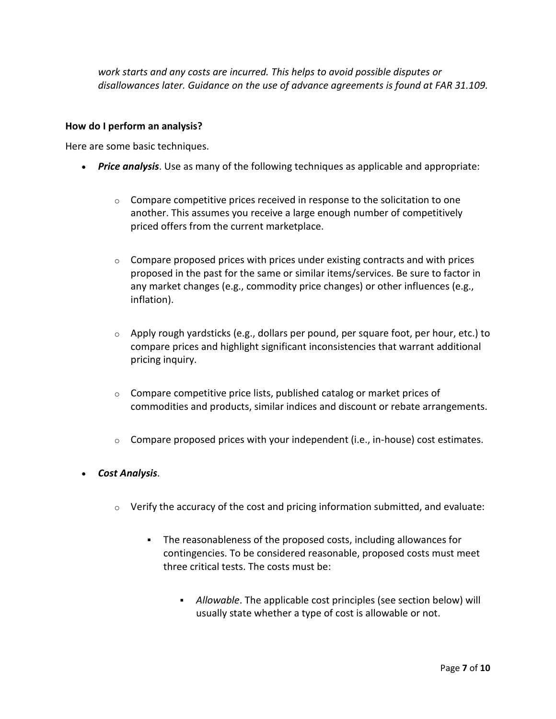*work starts and any costs are incurred. This helps to avoid possible disputes or disallowances later. Guidance on the use of advance agreements is found at FAR 31.109.*

#### **How do I perform an analysis?**

Here are some basic techniques.

- *Price analysis*. Use as many of the following techniques as applicable and appropriate:
	- $\circ$  Compare competitive prices received in response to the solicitation to one another. This assumes you receive a large enough number of competitively priced offers from the current marketplace.
	- $\circ$  Compare proposed prices with prices under existing contracts and with prices proposed in the past for the same or similar items/services. Be sure to factor in any market changes (e.g., commodity price changes) or other influences (e.g., inflation).
	- $\circ$  Apply rough yardsticks (e.g., dollars per pound, per square foot, per hour, etc.) to compare prices and highlight significant inconsistencies that warrant additional pricing inquiry.
	- $\circ$  Compare competitive price lists, published catalog or market prices of commodities and products, similar indices and discount or rebate arrangements.
	- $\circ$  Compare proposed prices with your independent (i.e., in-house) cost estimates.

# • *Cost Analysis*.

- $\circ$  Verify the accuracy of the cost and pricing information submitted, and evaluate:
	- The reasonableness of the proposed costs, including allowances for contingencies. To be considered reasonable, proposed costs must meet three critical tests. The costs must be:
		- *Allowable*. The applicable cost principles (see section below) will usually state whether a type of cost is allowable or not.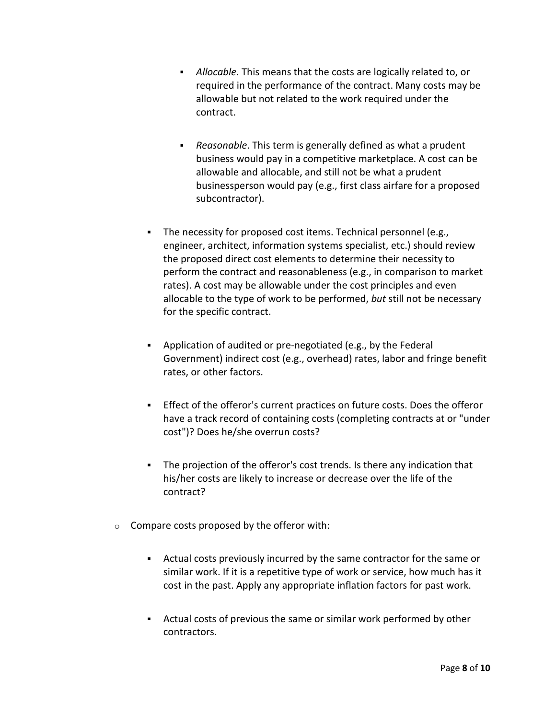- *Allocable*. This means that the costs are logically related to, or required in the performance of the contract. Many costs may be allowable but not related to the work required under the contract.
- *Reasonable*. This term is generally defined as what a prudent business would pay in a competitive marketplace. A cost can be allowable and allocable, and still not be what a prudent businessperson would pay (e.g., first class airfare for a proposed subcontractor).
- The necessity for proposed cost items. Technical personnel (e.g., engineer, architect, information systems specialist, etc.) should review the proposed direct cost elements to determine their necessity to perform the contract and reasonableness (e.g., in comparison to market rates). A cost may be allowable under the cost principles and even allocable to the type of work to be performed, *but* still not be necessary for the specific contract.
- Application of audited or pre-negotiated (e.g., by the Federal Government) indirect cost (e.g., overhead) rates, labor and fringe benefit rates, or other factors.
- Effect of the offeror's current practices on future costs. Does the offeror have a track record of containing costs (completing contracts at or "under cost")? Does he/she overrun costs?
- The projection of the offeror's cost trends. Is there any indication that his/her costs are likely to increase or decrease over the life of the contract?
- $\circ$  Compare costs proposed by the offeror with:
	- Actual costs previously incurred by the same contractor for the same or similar work. If it is a repetitive type of work or service, how much has it cost in the past. Apply any appropriate inflation factors for past work.
	- Actual costs of previous the same or similar work performed by other contractors.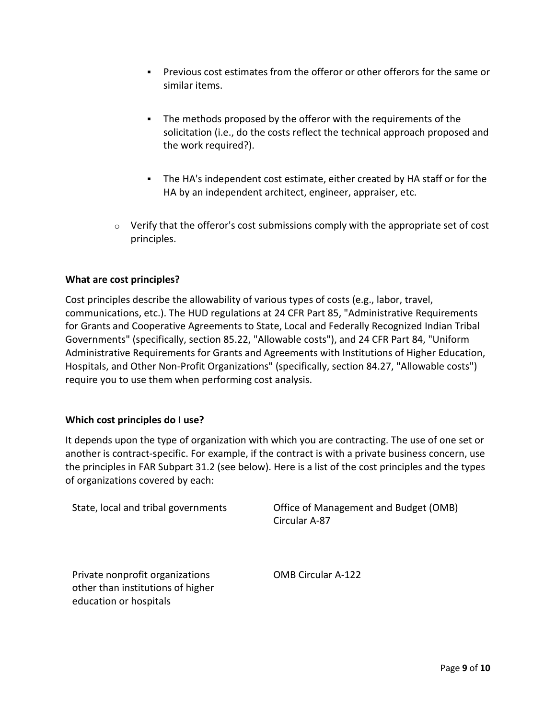- Previous cost estimates from the offeror or other offerors for the same or similar items.
- The methods proposed by the offeror with the requirements of the solicitation (i.e., do the costs reflect the technical approach proposed and the work required?).
- The HA's independent cost estimate, either created by HA staff or for the HA by an independent architect, engineer, appraiser, etc.
- $\circ$  Verify that the offeror's cost submissions comply with the appropriate set of cost principles.

# **What are cost principles?**

Cost principles describe the allowability of various types of costs (e.g., labor, travel, communications, etc.). The HUD regulations at 24 CFR Part 85, "Administrative Requirements for Grants and Cooperative Agreements to State, Local and Federally Recognized Indian Tribal Governments" (specifically, section 85.22, "Allowable costs"), and 24 CFR Part 84, "Uniform Administrative Requirements for Grants and Agreements with Institutions of Higher Education, Hospitals, and Other Non-Profit Organizations" (specifically, section 84.27, "Allowable costs") require you to use them when performing cost analysis.

# **Which cost principles do I use?**

It depends upon the type of organization with which you are contracting. The use of one set or another is contract-specific. For example, if the contract is with a private business concern, use the principles in FAR Subpart 31.2 (see below). Here is a list of the cost principles and the types of organizations covered by each:

State, local and tribal governments Office of Management and Budget (OMB) Circular A-87

Private nonprofit organizations other than institutions of higher education or hospitals

OMB Circular A-122